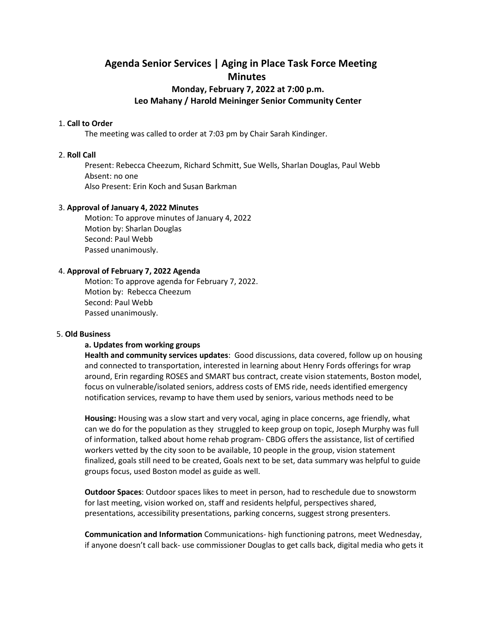# **Agenda Senior Services | Aging in Place Task Force Meeting Minutes**

# **Monday, February 7, 2022 at 7:00 p.m. Leo Mahany / Harold Meininger Senior Community Center**

#### 1. **Call to Order**

The meeting was called to order at 7:03 pm by Chair Sarah Kindinger.

# 2. **Roll Call**

Present: Rebecca Cheezum, Richard Schmitt, Sue Wells, Sharlan Douglas, Paul Webb Absent: no one Also Present: Erin Koch and Susan Barkman

# 3. **Approval of January 4, 2022 Minutes**

Motion: To approve minutes of January 4, 2022 Motion by: Sharlan Douglas Second: Paul Webb Passed unanimously.

# 4. **Approval of February 7, 2022 Agenda**

Motion: To approve agenda for February 7, 2022. Motion by: Rebecca Cheezum Second: Paul Webb Passed unanimously.

#### 5. **Old Business**

#### **a. Updates from working groups**

**Health and community services updates**: Good discussions, data covered, follow up on housing and connected to transportation, interested in learning about Henry Fords offerings for wrap around, Erin regarding ROSES and SMART bus contract, create vision statements, Boston model, focus on vulnerable/isolated seniors, address costs of EMS ride, needs identified emergency notification services, revamp to have them used by seniors, various methods need to be

**Housing:** Housing was a slow start and very vocal, aging in place concerns, age friendly, what can we do for the population as they struggled to keep group on topic, Joseph Murphy was full of information, talked about home rehab program- CBDG offers the assistance, list of certified workers vetted by the city soon to be available, 10 people in the group, vision statement finalized, goals still need to be created, Goals next to be set, data summary was helpful to guide groups focus, used Boston model as guide as well.

**Outdoor Spaces**: Outdoor spaces likes to meet in person, had to reschedule due to snowstorm for last meeting, vision worked on, staff and residents helpful, perspectives shared, presentations, accessibility presentations, parking concerns, suggest strong presenters.

**Communication and Information** Communications- high functioning patrons, meet Wednesday, if anyone doesn't call back- use commissioner Douglas to get calls back, digital media who gets it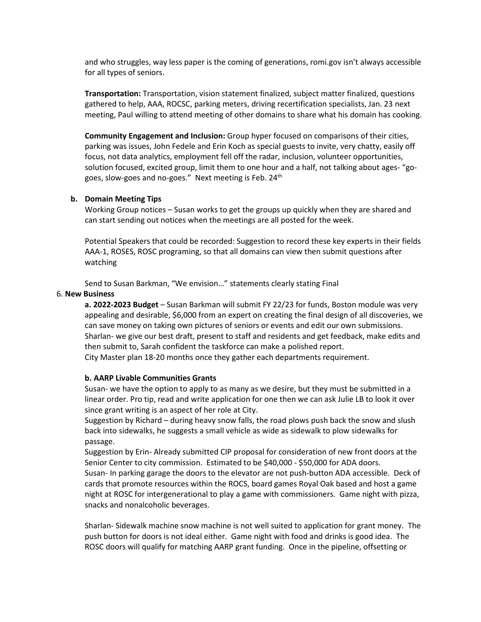and who struggles, way less paper is the coming of generations, romi.gov isn't always accessible for all types of seniors.

**Transportation:** Transportation, vision statement finalized, subject matter finalized, questions gathered to help, AAA, ROCSC, parking meters, driving recertification specialists, Jan. 23 next meeting, Paul willing to attend meeting of other domains to share what his domain has cooking.

**Community Engagement and Inclusion:** Group hyper focused on comparisons of their cities, parking was issues, John Fedele and Erin Koch as special guests to invite, very chatty, easily off focus, not data analytics, employment fell off the radar, inclusion, volunteer opportunities, solution focused, excited group, limit them to one hour and a half, not talking about ages- "gogoes, slow-goes and no-goes." Next meeting is Feb. 24<sup>th</sup>

#### **b. Domain Meeting Tips**

Working Group notices – Susan works to get the groups up quickly when they are shared and can start sending out notices when the meetings are all posted for the week.

Potential Speakers that could be recorded: Suggestion to record these key experts in their fields AAA-1, ROSES, ROSC programing, so that all domains can view then submit questions after watching

Send to Susan Barkman, "We envision…" statements clearly stating Final

# 6. **New Business**

**a. 2022-2023 Budget** – Susan Barkman will submit FY 22/23 for funds, Boston module was very appealing and desirable, \$6,000 from an expert on creating the final design of all discoveries, we can save money on taking own pictures of seniors or events and edit our own submissions. Sharlan- we give our best draft, present to staff and residents and get feedback, make edits and then submit to, Sarah confident the taskforce can make a polished report. City Master plan 18-20 months once they gather each departments requirement.

# **b. AARP Livable Communities Grants**

Susan- we have the option to apply to as many as we desire, but they must be submitted in a linear order. Pro tip, read and write application for one then we can ask Julie LB to look it over since grant writing is an aspect of her role at City.

Suggestion by Richard – during heavy snow falls, the road plows push back the snow and slush back into sidewalks, he suggests a small vehicle as wide as sidewalk to plow sidewalks for passage.

Suggestion by Erin- Already submitted CIP proposal for consideration of new front doors at the Senior Center to city commission. Estimated to be \$40,000 - \$50,000 for ADA doors.

Susan- In parking garage the doors to the elevator are not push-button ADA accessible. Deck of cards that promote resources within the ROCS, board games Royal Oak based and host a game night at ROSC for intergenerational to play a game with commissioners. Game night with pizza, snacks and nonalcoholic beverages.

Sharlan- Sidewalk machine snow machine is not well suited to application for grant money. The push button for doors is not ideal either. Game night with food and drinks is good idea. The ROSC doors will qualify for matching AARP grant funding. Once in the pipeline, offsetting or